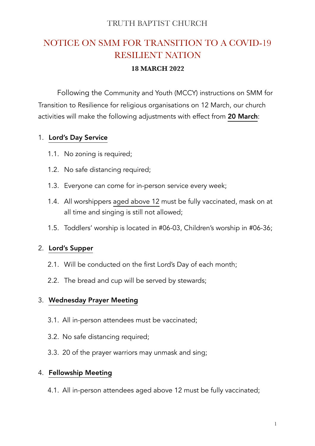## TRUTH BAPTIST CHURCH

# NOTICE ON SMM FOR TRANSITION TO A COVID-19 RESILIENT NATION

#### **18 MARCH 2022**

 Following the Community and Youth (MCCY) instructions on SMM for Transition to Resilience for religious organisations on 12 March, our church activities will make the following adjustments with effect from 20 March:

#### 1. Lord's Day Service

- 1.1. No zoning is required;
- 1.2. No safe distancing required;
- 1.3. Everyone can come for in-person service every week;
- 1.4. All worshippers aged above 12 must be fully vaccinated, mask on at all time and singing is still not allowed;
- 1.5. Toddlers' worship is located in #06-03, Children's worship in #06-36;

### 2. Lord's Supper

- 2.1. Will be conducted on the first Lord's Day of each month;
- 2.2. The bread and cup will be served by stewards;

### 3. Wednesday Prayer Meeting

- 3.1. All in-person attendees must be vaccinated;
- 3.2. No safe distancing required;
- 3.3. 20 of the prayer warriors may unmask and sing;

### 4. Fellowship Meeting

4.1. All in-person attendees aged above 12 must be fully vaccinated;